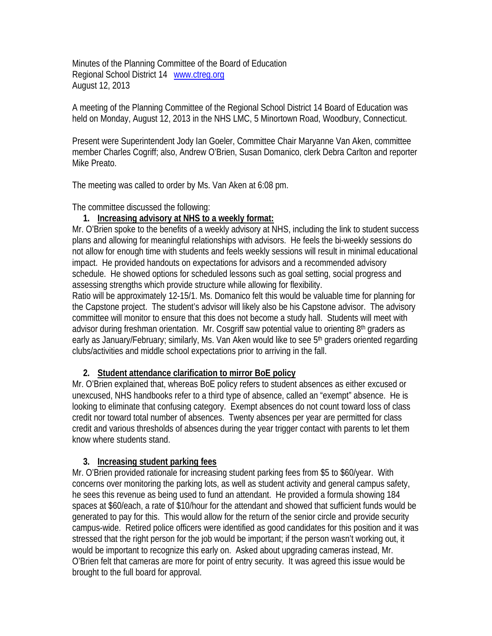Minutes of the Planning Committee of the Board of Education Regional School District 14 www.ctreg.org August 12, 2013

A meeting of the Planning Committee of the Regional School District 14 Board of Education was held on Monday, August 12, 2013 in the NHS LMC, 5 Minortown Road, Woodbury, Connecticut.

Present were Superintendent Jody Ian Goeler, Committee Chair Maryanne Van Aken, committee member Charles Cogriff; also, Andrew O'Brien, Susan Domanico, clerk Debra Carlton and reporter Mike Preato.

The meeting was called to order by Ms. Van Aken at 6:08 pm.

The committee discussed the following:

## **1. Increasing advisory at NHS to a weekly format:**

Mr. O'Brien spoke to the benefits of a weekly advisory at NHS, including the link to student success plans and allowing for meaningful relationships with advisors. He feels the bi-weekly sessions do not allow for enough time with students and feels weekly sessions will result in minimal educational impact. He provided handouts on expectations for advisors and a recommended advisory schedule. He showed options for scheduled lessons such as goal setting, social progress and assessing strengths which provide structure while allowing for flexibility.

Ratio will be approximately 12-15/1. Ms. Domanico felt this would be valuable time for planning for the Capstone project. The student's advisor will likely also be his Capstone advisor. The advisory committee will monitor to ensure that this does not become a study hall. Students will meet with advisor during freshman orientation. Mr. Cosgriff saw potential value to orienting 8<sup>th</sup> graders as early as January/February; similarly, Ms. Van Aken would like to see 5<sup>th</sup> graders oriented regarding clubs/activities and middle school expectations prior to arriving in the fall.

## **2. Student attendance clarification to mirror BoE policy**

Mr. O'Brien explained that, whereas BoE policy refers to student absences as either excused or unexcused, NHS handbooks refer to a third type of absence, called an "exempt" absence. He is looking to eliminate that confusing category. Exempt absences do not count toward loss of class credit nor toward total number of absences. Twenty absences per year are permitted for class credit and various thresholds of absences during the year trigger contact with parents to let them know where students stand.

## **3. Increasing student parking fees**

Mr. O'Brien provided rationale for increasing student parking fees from \$5 to \$60/year. With concerns over monitoring the parking lots, as well as student activity and general campus safety, he sees this revenue as being used to fund an attendant. He provided a formula showing 184 spaces at \$60/each, a rate of \$10/hour for the attendant and showed that sufficient funds would be generated to pay for this. This would allow for the return of the senior circle and provide security campus-wide. Retired police officers were identified as good candidates for this position and it was stressed that the right person for the job would be important; if the person wasn't working out, it would be important to recognize this early on. Asked about upgrading cameras instead, Mr. O'Brien felt that cameras are more for point of entry security. It was agreed this issue would be brought to the full board for approval.